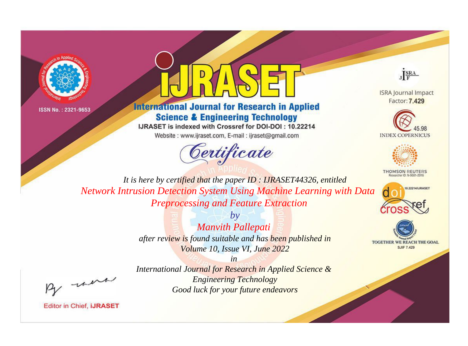



**International Journal for Research in Applied Science & Engineering Technology** 

IJRASET is indexed with Crossref for DOI-DOI: 10.22214 Website: www.ijraset.com, E-mail: ijraset@gmail.com

Certificate



**ISRA Journal Impact** Factor: 7.429





**THOMSON REUTERS** 



TOGETHER WE REACH THE GOAL **SJIF 7.429** 

*It is here by certified that the paper ID : IJRASET44326, entitled Network Intrusion Detection System Using Machine Learning with Data Preprocessing and Feature Extraction*

> *by Manvith Pallepati after review is found suitable and has been published in Volume 10, Issue VI, June 2022*

, un

*International Journal for Research in Applied Science & Engineering Technology Good luck for your future endeavors*

*in*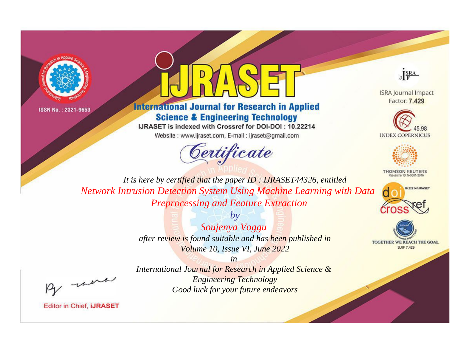



**International Journal for Research in Applied Science & Engineering Technology** 

IJRASET is indexed with Crossref for DOI-DOI: 10.22214 Website: www.ijraset.com, E-mail: ijraset@gmail.com

Certificate



**ISRA Journal Impact** Factor: 7.429





**THOMSON REUTERS** 



TOGETHER WE REACH THE GOAL **SJIF 7.429** 

*It is here by certified that the paper ID : IJRASET44326, entitled Network Intrusion Detection System Using Machine Learning with Data Preprocessing and Feature Extraction*

> *by Soujenya Voggu after review is found suitable and has been published in Volume 10, Issue VI, June 2022*

, un

*International Journal for Research in Applied Science & Engineering Technology Good luck for your future endeavors*

*in*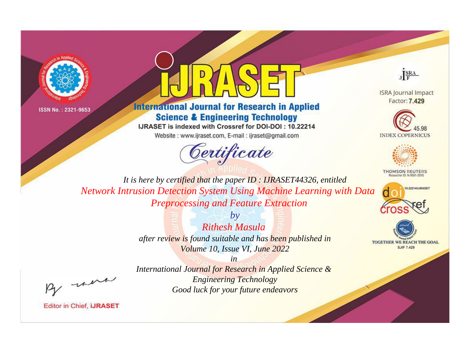



**International Journal for Research in Applied Science & Engineering Technology** 

IJRASET is indexed with Crossref for DOI-DOI: 10.22214 Website: www.ijraset.com, E-mail: ijraset@gmail.com

Certificate



**ISRA Journal Impact** Factor: 7.429





**THOMSON REUTERS** 



TOGETHER WE REACH THE GOAL **SJIF 7.429** 

*It is here by certified that the paper ID : IJRASET44326, entitled Network Intrusion Detection System Using Machine Learning with Data Preprocessing and Feature Extraction*

> *by Rithesh Masula after review is found suitable and has been published in Volume 10, Issue VI, June 2022*

, un

*in International Journal for Research in Applied Science & Engineering Technology Good luck for your future endeavors*